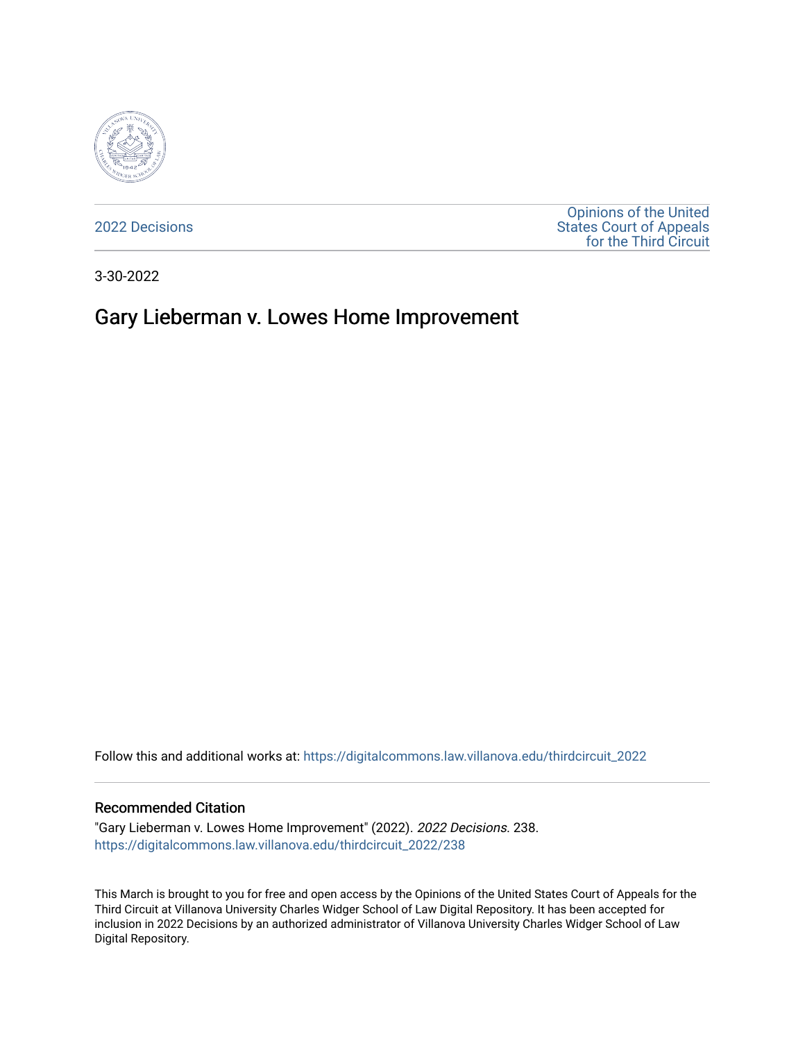

[2022 Decisions](https://digitalcommons.law.villanova.edu/thirdcircuit_2022)

[Opinions of the United](https://digitalcommons.law.villanova.edu/thirdcircuit)  [States Court of Appeals](https://digitalcommons.law.villanova.edu/thirdcircuit)  [for the Third Circuit](https://digitalcommons.law.villanova.edu/thirdcircuit) 

3-30-2022

# Gary Lieberman v. Lowes Home Improvement

Follow this and additional works at: [https://digitalcommons.law.villanova.edu/thirdcircuit\\_2022](https://digitalcommons.law.villanova.edu/thirdcircuit_2022?utm_source=digitalcommons.law.villanova.edu%2Fthirdcircuit_2022%2F238&utm_medium=PDF&utm_campaign=PDFCoverPages) 

#### Recommended Citation

"Gary Lieberman v. Lowes Home Improvement" (2022). 2022 Decisions. 238. [https://digitalcommons.law.villanova.edu/thirdcircuit\\_2022/238](https://digitalcommons.law.villanova.edu/thirdcircuit_2022/238?utm_source=digitalcommons.law.villanova.edu%2Fthirdcircuit_2022%2F238&utm_medium=PDF&utm_campaign=PDFCoverPages)

This March is brought to you for free and open access by the Opinions of the United States Court of Appeals for the Third Circuit at Villanova University Charles Widger School of Law Digital Repository. It has been accepted for inclusion in 2022 Decisions by an authorized administrator of Villanova University Charles Widger School of Law Digital Repository.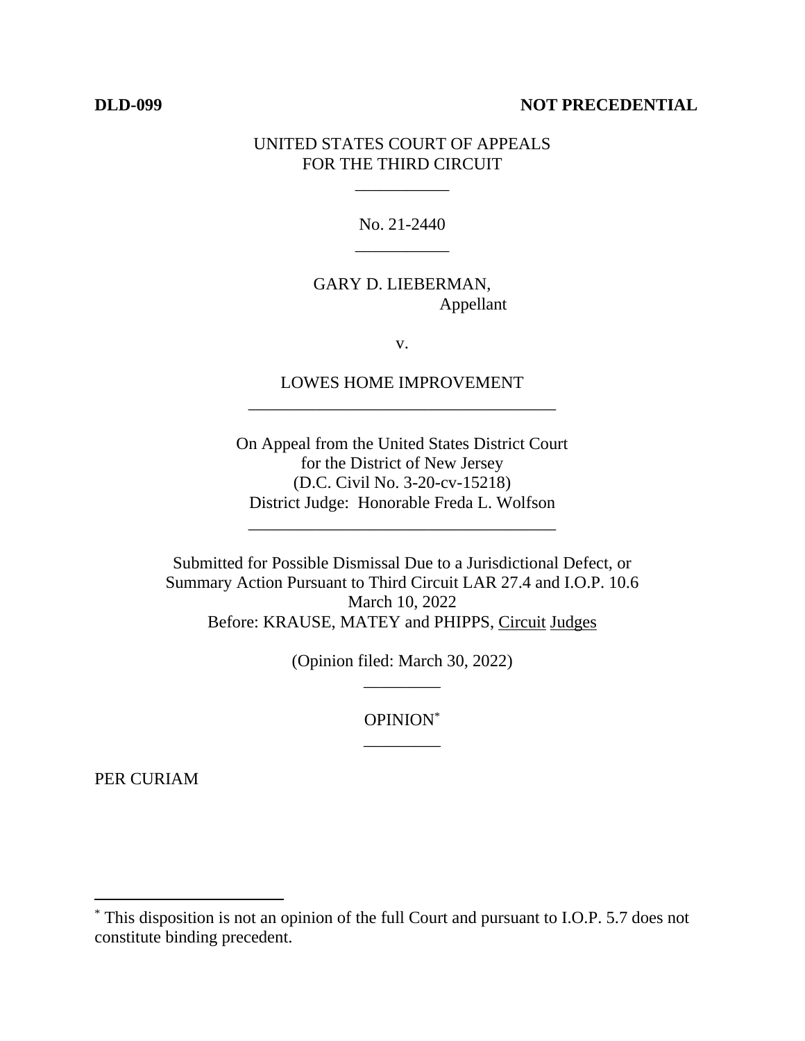#### **DLD-099 NOT PRECEDENTIAL**

#### UNITED STATES COURT OF APPEALS FOR THE THIRD CIRCUIT

\_\_\_\_\_\_\_\_\_\_\_

No. 21-2440 \_\_\_\_\_\_\_\_\_\_\_

## GARY D. LIEBERMAN, Appellant

v.

### LOWES HOME IMPROVEMENT \_\_\_\_\_\_\_\_\_\_\_\_\_\_\_\_\_\_\_\_\_\_\_\_\_\_\_\_\_\_\_\_\_\_\_\_

On Appeal from the United States District Court for the District of New Jersey (D.C. Civil No. 3-20-cv-15218) District Judge: Honorable Freda L. Wolfson

\_\_\_\_\_\_\_\_\_\_\_\_\_\_\_\_\_\_\_\_\_\_\_\_\_\_\_\_\_\_\_\_\_\_\_\_

Submitted for Possible Dismissal Due to a Jurisdictional Defect, or Summary Action Pursuant to Third Circuit LAR 27.4 and I.O.P. 10.6 March 10, 2022 Before: KRAUSE, MATEY and PHIPPS, Circuit Judges

> (Opinion filed: March 30, 2022) \_\_\_\_\_\_\_\_\_

> > OPINION\* \_\_\_\_\_\_\_\_\_

PER CURIAM

<sup>\*</sup> This disposition is not an opinion of the full Court and pursuant to I.O.P. 5.7 does not constitute binding precedent.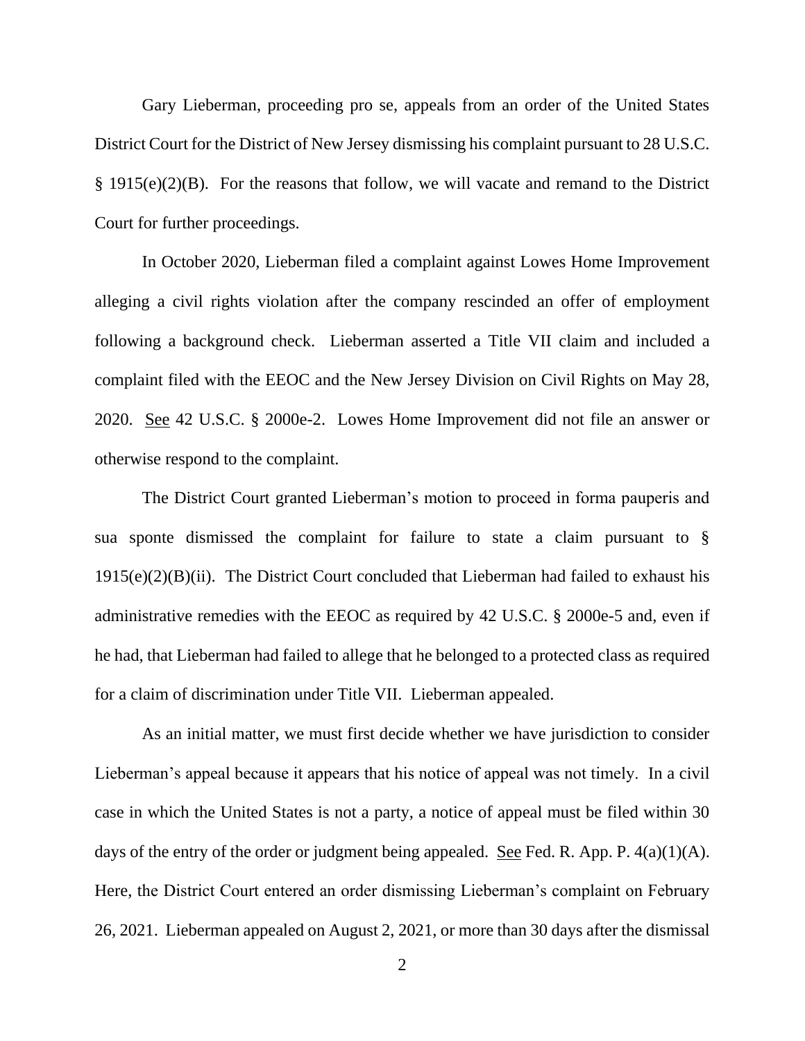Gary Lieberman, proceeding pro se, appeals from an order of the United States District Court for the District of New Jersey dismissing his complaint pursuant to 28 U.S.C. § 1915(e)(2)(B). For the reasons that follow, we will vacate and remand to the District Court for further proceedings.

In October 2020, Lieberman filed a complaint against Lowes Home Improvement alleging a civil rights violation after the company rescinded an offer of employment following a background check. Lieberman asserted a Title VII claim and included a complaint filed with the EEOC and the New Jersey Division on Civil Rights on May 28, 2020. See 42 U.S.C. § 2000e-2. Lowes Home Improvement did not file an answer or otherwise respond to the complaint.

The District Court granted Lieberman's motion to proceed in forma pauperis and sua sponte dismissed the complaint for failure to state a claim pursuant to §  $1915(e)(2)(B)(ii)$ . The District Court concluded that Lieberman had failed to exhaust his administrative remedies with the EEOC as required by 42 U.S.C. § 2000e-5 and, even if he had, that Lieberman had failed to allege that he belonged to a protected class as required for a claim of discrimination under Title VII. Lieberman appealed.

As an initial matter, we must first decide whether we have jurisdiction to consider Lieberman's appeal because it appears that his notice of appeal was not timely. In a civil case in which the United States is not a party, a notice of appeal must be filed within 30 days of the entry of the order or judgment being appealed. See Fed. R. App. P.  $4(a)(1)(A)$ . Here, the District Court entered an order dismissing Lieberman's complaint on February 26, 2021. Lieberman appealed on August 2, 2021, or more than 30 days after the dismissal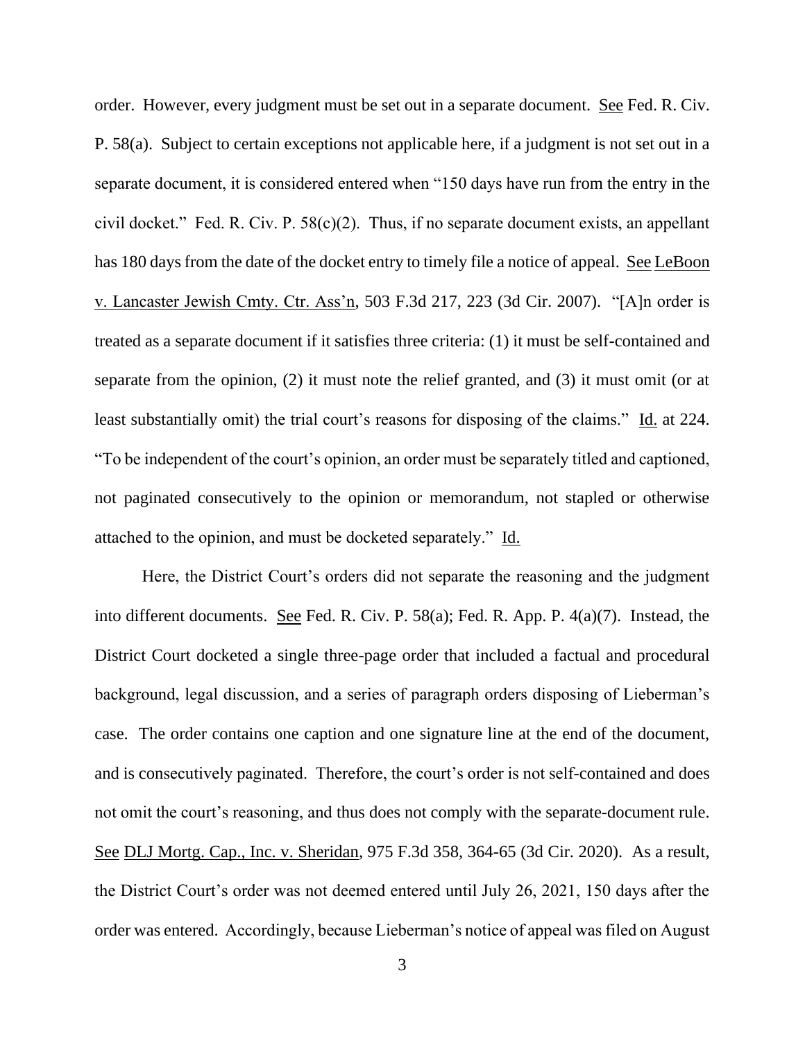order. However, every judgment must be set out in a separate document. See Fed. R. Civ. P. 58(a). Subject to certain exceptions not applicable here, if a judgment is not set out in a separate document, it is considered entered when "150 days have run from the entry in the civil docket." Fed. R. Civ. P. 58(c)(2). Thus, if no separate document exists, an appellant has 180 days from the date of the docket entry to timely file a notice of appeal. See LeBoon v. Lancaster Jewish Cmty. Ctr. Ass'n, 503 F.3d 217, 223 (3d Cir. 2007). "[A]n order is treated as a separate document if it satisfies three criteria: (1) it must be self-contained and separate from the opinion, (2) it must note the relief granted, and (3) it must omit (or at least substantially omit) the trial court's reasons for disposing of the claims." Id. at 224. "To be independent of the court's opinion, an order must be separately titled and captioned, not paginated consecutively to the opinion or memorandum, not stapled or otherwise attached to the opinion, and must be docketed separately." Id.

Here, the District Court's orders did not separate the reasoning and the judgment into different documents. See Fed. R. Civ. P. 58(a); Fed. R. App. P. 4(a)(7). Instead, the District Court docketed a single three-page order that included a factual and procedural background, legal discussion, and a series of paragraph orders disposing of Lieberman's case. The order contains one caption and one signature line at the end of the document, and is consecutively paginated. Therefore, the court's order is not self-contained and does not omit the court's reasoning, and thus does not comply with the separate-document rule. See DLJ Mortg. Cap., Inc. v. Sheridan, 975 F.3d 358, 364-65 (3d Cir. 2020). As a result, the District Court's order was not deemed entered until July 26, 2021, 150 days after the order was entered. Accordingly, because Lieberman's notice of appeal was filed on August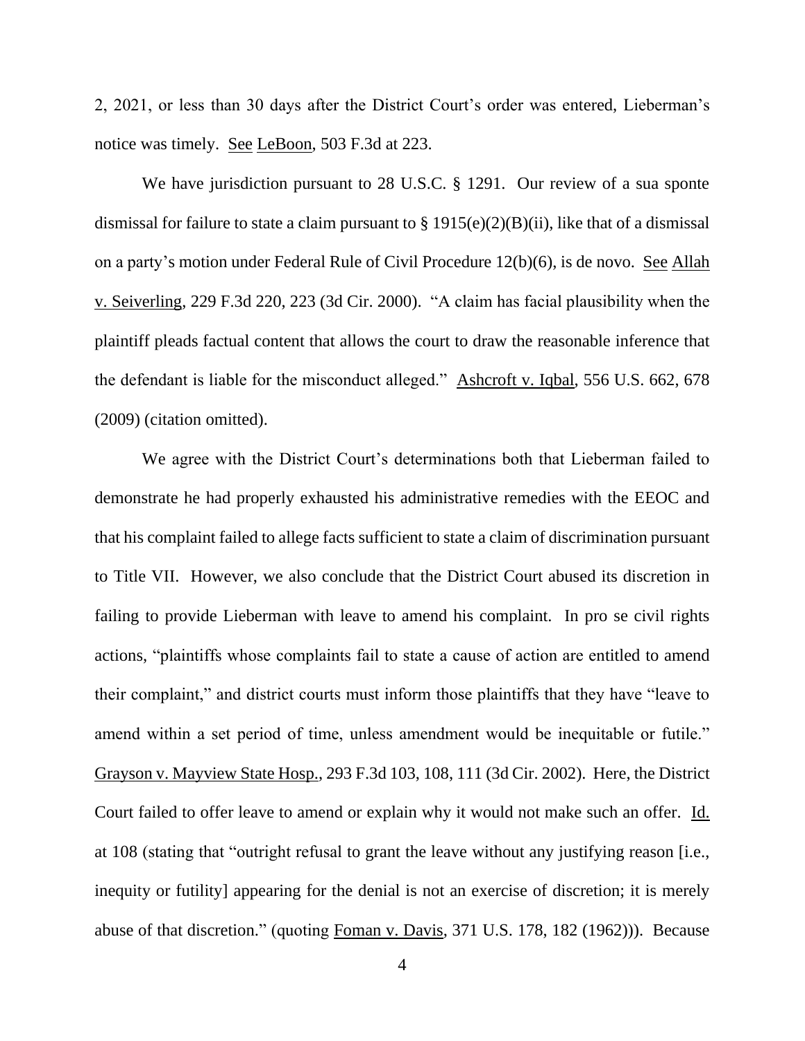2, 2021, or less than 30 days after the District Court's order was entered, Lieberman's notice was timely. See LeBoon, 503 F.3d at 223.

We have jurisdiction pursuant to 28 U.S.C. § 1291. Our review of a sua sponte dismissal for failure to state a claim pursuant to  $\S 1915(e)(2)(B)(ii)$ , like that of a dismissal on a party's motion under Federal Rule of Civil Procedure 12(b)(6), is de novo. See Allah v. Seiverling, 229 F.3d 220, 223 (3d Cir. 2000). "A claim has facial plausibility when the plaintiff pleads factual content that allows the court to draw the reasonable inference that the defendant is liable for the misconduct alleged." Ashcroft v. Iqbal, 556 U.S. 662, 678 (2009) (citation omitted).

We agree with the District Court's determinations both that Lieberman failed to demonstrate he had properly exhausted his administrative remedies with the EEOC and that his complaint failed to allege facts sufficient to state a claim of discrimination pursuant to Title VII. However, we also conclude that the District Court abused its discretion in failing to provide Lieberman with leave to amend his complaint. In pro se civil rights actions, "plaintiffs whose complaints fail to state a cause of action are entitled to amend their complaint," and district courts must inform those plaintiffs that they have "leave to amend within a set period of time, unless amendment would be inequitable or futile." Grayson v. Mayview State Hosp., 293 F.3d 103, 108, 111 (3d Cir. 2002). Here, the District Court failed to offer leave to amend or explain why it would not make such an offer. Id. at 108 (stating that "outright refusal to grant the leave without any justifying reason [i.e., inequity or futility] appearing for the denial is not an exercise of discretion; it is merely abuse of that discretion." (quoting Foman v. Davis, 371 U.S. 178, 182 (1962))). Because